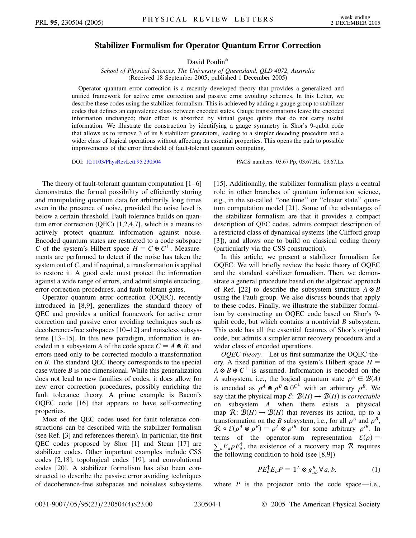## **Stabilizer Formalism for Operator Quantum Error Correction**

David Poulin\*

*School of Physical Sciences, The University of Queensland, QLD 4072, Australia* (Received 18 September 2005; published 1 December 2005)

Operator quantum error correction is a recently developed theory that provides a generalized and unified framework for active error correction and passive error avoiding schemes. In this Letter, we describe these codes using the stabilizer formalism. This is achieved by adding a gauge group to stabilizer codes that defines an equivalence class between encoded states. Gauge transformations leave the encoded information unchanged; their effect is absorbed by virtual gauge qubits that do not carry useful information. We illustrate the construction by identifying a gauge symmetry in Shor's 9-qubit code that allows us to remove 3 of its 8 stabilizer generators, leading to a simpler decoding procedure and a wider class of logical operations without affecting its essential properties. This opens the path to possible improvements of the error threshold of fault-tolerant quantum computing.

DOI: [10.1103/PhysRevLett.95.230504](http://dx.doi.org/10.1103/PhysRevLett.95.230504) PACS numbers: 03.67.Pp, 03.67.Hk, 03.67.Lx

The theory of fault-tolerant quantum computation  $[1-6]$ demonstrates the formal possibility of efficiently storing and manipulating quantum data for arbitrarily long times even in the presence of noise, provided the noise level is below a certain threshold. Fault tolerance builds on quantum error correction (QEC)  $[1,2,4,7]$ , which is a means to actively protect quantum information against noise. Encoded quantum states are restricted to a code subspace *C* of the system's Hilbert space  $H = C \oplus C^{\perp}$ . Measurements are performed to detect if the noise has taken the system out of *C*, and if required, a transformation is applied to restore it. A good code must protect the information against a wide range of errors, and admit simple encoding, error correction procedures, and fault-tolerant gates.

Operator quantum error correction (OQEC), recently introduced in [8,9], generalizes the standard theory of QEC and provides a unified framework for active error correction and passive error avoiding techniques such as decoherence-free subspaces [10 –12] and noiseless subsystems [13–15]. In this new paradigm, information is encoded in a subsystem *A* of the code space  $C = A \otimes B$ , and errors need only to be corrected modulo a transformation on *B*. The standard QEC theory corresponds to the special case where *B* is one dimensional. While this generalization does not lead to new families of codes, it does allow for new error correction procedures, possibly enriching the fault tolerance theory. A prime example is Bacon's OQEC code [16] that appears to have self-correcting properties.

Most of the QEC codes used for fault tolerance constructions can be described with the stabilizer formalism (see Ref. [3] and references therein). In particular, the first QEC codes proposed by Shor [1] and Stean [17] are stabilizer codes. Other important examples include CSS codes [2,18], topological codes [19], and convolutional codes [20]. A stabilizer formalism has also been constructed to describe the passive error avoiding techniques of decoherence-free subspaces and noiseless subsystems [15]. Additionally, the stabilizer formalism plays a central role in other branches of quantum information science, e.g., in the so-called ''one time'' or ''cluster state'' quantum computation model [21]. Some of the advantages of the stabilizer formalism are that it provides a compact description of QEC codes, admits compact description of a restricted class of dynamical systems (the Clifford group [3]), and allows one to build on classical coding theory (particularly via the CSS construction).

In this article, we present a stabilizer formalism for OQEC. We will briefly review the basic theory of OQEC and the standard stabilizer formalism. Then, we demonstrate a general procedure based on the algebraic approach of Ref. [22] to describe the subsystem structure  $A \otimes B$ using the Pauli group. We also discuss bounds that apply to these codes. Finally, we illustrate the stabilizer formalism by constructing an OQEC code based on Shor's 9 qubit code, but which contains a nontrivial *B* subsystem. This code has all the essential features of Shor's original code, but admits a simpler error recovery procedure and a wider class of encoded operations.

*OQEC theory.—*Let us first summarize the OQEC theory. A fixed partition of the system's Hilbert space  $H =$  $A \otimes B \oplus C^{\perp}$  is assumed. Information is encoded on the *A* subsystem, i.e., the logical quantum state  $\rho^A \in \mathcal{B}(A)$ is encoded as  $\rho^A \otimes \rho^B \oplus 0^{C^{\perp}}$  with an arbitrary  $\rho^B$ . We say that the physical map  $\mathcal{E}: \mathcal{B}(H) \to \mathcal{B}(H)$  is *correctable* on subsystem *A* when there exists a physical map  $\mathcal{R}$ :  $\mathcal{B}(H) \rightarrow \mathcal{B}(H)$  that reverses its action, up to a transformation on the *B* subsystem, i.e., for all  $\rho^A$  and  $\rho^B$ ,  $\mathcal{R} \circ \mathcal{E}(\rho^A \otimes \rho^B) = \rho^A \otimes \rho'^B$  for some arbitrary  $\rho'^B$ . In terms of the operator-sum representation  $\mathcal{E}(\rho) =$  $\sum_{a} E_a \rho E_a^{\dagger}$ , the existence of a recovery map R requires the following condition to hold (see [8,9])

$$
PE_a^{\dagger} E_b P = \mathbb{1}^A \otimes g_{ab}^B \forall a, b,
$$
 (1)

where  $P$  is the projector onto the code space—i.e.,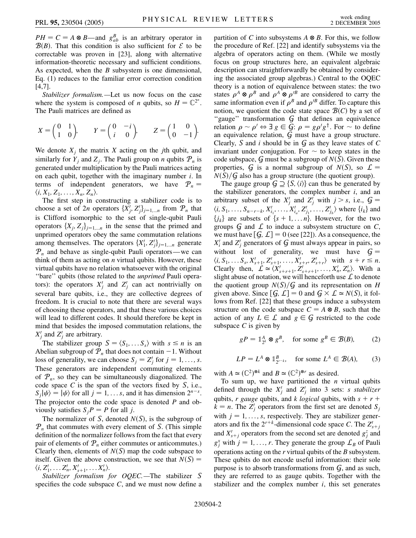$PH = C = A \otimes B$ —and  $g_{ab}^B$  is an arbitrary operator in  $B(B)$ . That this condition is also sufficient for  $\mathcal E$  to be correctable was proven in [23], along with alternative information-theoretic necessary and sufficient conditions. As expected, when the *B* subsystem is one dimensional, Eq. (1) reduces to the familiar error correction condition [4,7].

*Stabilizer formalism.—*Let us now focus on the case where the system is composed of *n* qubits, so  $H = \mathbb{C}^{2^n}$ . The Pauli matrices are defined as

$$
X = \begin{pmatrix} 0 & 1 \\ 1 & 0 \end{pmatrix}, \qquad Y = \begin{pmatrix} 0 & -i \\ i & 0 \end{pmatrix}, \qquad Z = \begin{pmatrix} 1 & 0 \\ 0 & -1 \end{pmatrix}.
$$

We denote  $X_i$  the matrix  $X$  acting on the *j*th qubit, and similarly for  $Y_i$  and  $Z_i$ . The Pauli group on *n* qubits  $P_n$  is generated under multiplication by the Pauli matrices acting on each qubit, together with the imaginary number *i*. In terms of independent generators, we have  $P_n =$  $\langle i, X_1, Z_1, \ldots, X_n, Z_n \rangle$ .

The first step in constructing a stabilizer code is to choose a set of 2*n* operators  $\{X'_j, Z'_j\}_{j=1,\dots n}$  from  $\mathcal{P}_n$  that is Clifford isomorphic to the set of single-qubit Pauli operators  $\{X_j, Z_j\}_{j=1,\dots,n}$  in the sense that the primed and unprimed operators obey the same commutation relations among themselves. The operators  $\{X'_{1}, Z'_{j}\}_{j=1,\dots,n}$  generate  $P_n$  and behave as single-qubit Pauli operators—we can think of them as acting on *n* virtual qubits. However, these virtual qubits have no relation whatsoever with the original ''bare'' qubits (those related to the *unprimed* Pauli operators): the operators  $X'_j$  and  $Z'_j$  can act nontrivially on several bare qubits, i.e., they are collective degrees of freedom. It is crucial to note that there are several ways of choosing these operators, and that these various choices will lead to different codes. It should therefore be kept in mind that besides the imposed commutation relations, the  $X'_j$  and  $Z'_j$  are arbitrary.

The stabilizer group  $S = \langle S_1, \ldots, S_s \rangle$  with  $s \leq n$  is an Abelian subgroup of  $P_n$  that does not contain  $-1$ . Without loss of generality, we can choose  $S_j = Z'_j$  for  $j = 1, \ldots, s$ . These generators are independent commuting elements of  $P_n$ , so they can be simultaneously diagonalized. The code space *C* is the span of the vectors fixed by S, i.e.,  $S_i|\psi\rangle = |\psi\rangle$  for all  $j = 1, \ldots s$ , and it has dimension  $2^{n-s}$ . The projector onto the code space is denoted *P* and obviously satisfies  $S_iP = P$  for all *j*.

The normalizer of S, denoted  $N(S)$ , is the subgroup of  $P_n$  that commutes with every element of S. (This simple definition of the normalizer follows from the fact that every pair of elements of  $P_n$  either commutes or anticommutes.) Clearly then, elements of  $N(S)$  map the code subspace to itself. Given the above construction, we see that  $N(S)$  =  $\langle i, Z'_1, \ldots Z'_n, X'_{s+1}, \ldots X'_n \rangle$ .

*Stabilizer formalism for OQEC.—*The stabilizer S specifies the code subspace  $C$ , and we must now define a partition of *C* into subsystems  $A \otimes B$ . For this, we follow the procedure of Ref. [22] and identify subsystems via the algebra of operators acting on them. (While we mostly focus on group structures here, an equivalent algebraic description can straightforwardly be obtained by considering the associated group algebras.) Central to the OQEC theory is a notion of equivalence between states: the two states  $\rho^A \otimes \rho^B$  and  $\rho^A \otimes \rho^B$  are considered to carry the same information even if  $\rho^B$  and  $\rho^{\prime B}$  differ. To capture this notion, we quotient the code state space  $\mathcal{B}(C)$  by a set of "gauge" transformation  $G$  that defines an equivalence relation  $\rho \sim \rho' \Leftrightarrow \exists g \in \overline{\mathcal{G}}$ :  $\rho = g \rho' g^{\dagger}$ . For  $\sim$  to define an equivalence relation, G must have a group structure. Clearly, S and *i* should be in G as they leave states of *C* invariant under conjugation. For  $\sim$  to keep states in the code subspace, G must be a subgroup of  $N(S)$ . Given these properties, G is a normal subgroup of  $N(S)$ , so  $\mathcal{L} =$  $N(S)/G$  also has a group structure (the quotient group).

The gauge group  $\mathcal{G} \supseteq \{S, \langle i \rangle\}$  can thus be generated by the stabilizer generators, the complex number *i*, and an arbitrary subset of the  $X'_j$  and  $Z'_j$  with  $j > s$ , i.e.,  $G =$  $\langle i, S_1, \ldots, S_{n-r-k}, X'_{i_1}, \ldots, X'_{i_a}, Z'_{j_1}, \ldots, Z'_{j_b} \rangle$  where  $\{i_k\}$  and  $\{j_k\}$  are subsets of  $\{s + 1, \ldots n\}$ . However, for the two groups  $G$  and  $L$  to induce a subsystem structure on  $C$ , we must have  $[G, \mathcal{L}] = 0$  (see [22]). As a consequence, the  $X_i'$  and  $Z_j'$  generators of G must always appear in pairs, so without lost of generality, we must have  $G =$  $\langle i, S_1, \ldots S_s, X'_{s+1}, Z'_{s+1}, \ldots, X'_{s+r}, Z'_{s+r} \rangle$  with  $s + r \leq n$ . Clearly then,  $\mathcal{L} \simeq \langle X'_{s+r+1}, Z'_{s+r+1}, \dots, X'_n, Z'_n \rangle$ . With a slight abuse of notation, we will henceforth use  $\mathcal L$  to denote the quotient group  $N(S)/G$  and its representation on *H* given above. Since  $[G, L] = 0$  and  $G \times L \simeq N(S)$ , it follows from Ref. [22] that these groups induce a subsystem structure on the code subspace  $C = A \otimes B$ , such that the action of any  $L \in \mathcal{L}$  and  $g \in \mathcal{G}$  restricted to the code subspace *C* is given by

$$
gP = \mathbb{1}_{2^k}^A \otimes g^B
$$
, for some  $g^B \in \mathcal{B}(B)$ , (2)

 $LP = L^A \otimes \mathbb{1}_{2^{r-k}}^B$ , for some  $L^A \in \mathcal{B}(A)$ , (3)

with  $A \simeq (\mathbb{C}^2)^{\otimes k}$  and  $B \simeq (\mathbb{C}^2)^{\otimes r}$  as desired.

To sum up, we have partitioned the *n* virtual qubits defined through the  $X_j'$  and  $Z_j'$  into 3 sets: *s stabilizer* qubits, *r* gauge qubits, and *k logical* qubits, with  $s + r + r$  $k = n$ . The *Z*<sup>*j*</sup> operators from the first set are denoted *S*<sup>*j*</sup> with  $j = 1, \ldots, s$ , respectively. They are stabilizer generators and fix the  $2^{r+k}$ -dimensional code space *C*. The  $Z'_{s+j}$ and  $X'_{s+j}$  operators from the second set are denoted  $g_j^z$  and  $g_j^x$  with  $j = 1, \ldots, r$ . They generate the group  $\mathcal{L}_B$  of Pauli operations acting on the *r* virtual qubits of the *B* subsystem. These qubits do not encode useful information: their sole purpose is to absorb transformations from  $G$ , and as such, they are referred to as gauge qubits. Together with the stabilizer and the complex number  $i$ , this set generates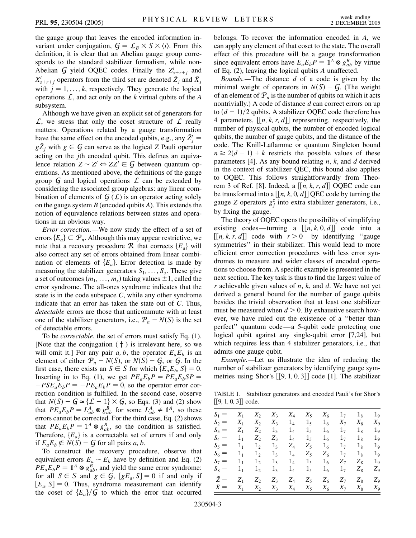the gauge group that leaves the encoded information invariant under conjugation,  $G = \mathcal{L}_B \times S \times \langle i \rangle$ . From this definition, it is clear that an Abelian gauge group corresponds to the standard stabilizer formalism, while non-Abelian G yield OQEC codes. Finally the  $Z'_{s+r+j}$  and  $X'_{s+r+j}$  operators from the third set are denoted  $\overline{Z}_j$  and  $\overline{X}_j$ with  $j = 1, \ldots, k$ , respectively. They generate the logical operations  $\mathcal{L}$ , and act only on the *k* virtual qubits of the *A* subsystem.

Although we have given an explicit set of generators for  $\mathcal{L}$ , we stress that only the coset structure of  $\mathcal{L}$  really matters. Operations related by a gauge transformation have the same effect on the encoded qubits, e.g., any  $\bar{Z}_j'$  =  $g\bar{Z}_j$  with  $g \in \mathcal{G}$  can serve as the logical *Z* Pauli operator acting on the *j*th encoded qubit. This defines an equivalence relation  $Z \sim Z' \Leftrightarrow ZZ' \in \mathcal{G}$  between quantum operations. As mentioned above, the definitions of the gauge group  $G$  and logical operations  $L$  can be extended by considering the associated group algebras: any linear combination of elements of  $G(\mathcal{L})$  is an operator acting solely on the gauge system *B* (encoded qubits *A*). This extends the notion of equivalence relations between states and operations in an obvious way.

*Error correction.—*We now study the effect of a set of errors  ${E_a} \subset \mathcal{P}_n$ . Although this may appear restrictive, we note that a recovery procedure  $R$  that corrects  ${E_a}$  will also correct any set of errors obtained from linear combination of elements of  ${E_a}$ . Error detection is made by measuring the stabilizer generators  $S_1, \ldots, S_s$ . These give a set of outcomes  $(m_1, \ldots, m_s)$  taking values  $\pm 1$ , called the error syndrome. The all-ones syndrome indicates that the state is in the code subspace *C*, while any other syndrome indicate that an error has taken the state out of *C*. Thus, *detectable* errors are those that anticommute with at least one of the stabilizer generators, i.e.,  $P_n - N(S)$  is the set of detectable errors.

To be *correctable*, the set of errors must satisfy Eq. (1). [Note that the conjugation  $( + )$  is irrelevant here, so we will omit it.] For any pair  $a, b$ , the operator  $E_a E_b$  is an element of either  $P_n - N(S)$ , or  $N(S) - G$ , or  $G$ . In the first case, there exists an  $S \in S$  for which  $\{E_a E_b, S\} = 0$ . Inserting in to Eq. (1), we get  $PE_aE_bP = PE_aE_bSP =$  $$ rection condition is fulfilled. In the second case, observe that  $N(S) - G \simeq \{ \mathcal{L} - \mathbb{I} \} \times G$ , so Eqs. (3) and (2) show that  $PE_a E_b P = L_{ab}^A \otimes g_{ab}^B$  for some  $L_{ab}^A \neq \mathbb{1}^A$ , so these errors cannot be corrected. For the third case, Eq. (2) shows that  $PE_aE_bP = 1^A \otimes g_{ab}^B$ , so the condition is satisfied. Therefore,  ${E_a}$  is a correctable set of errors if and only if  $E_a E_b \notin N(S) - G$  for all pairs *a*, *b*.

To construct the recovery procedure, observe that equivalent errors  $E_a \sim E_b$  have by definition and Eq. (2)  $PE_aE_bP = \mathbb{1}^A \otimes g_{ab}^B$ , and yield the same error syndrome: for all  $S \in S$  and  $g \in G$ ,  $[gE_a, S] = 0$  if and only if  $[E_a, S] = 0$ . Thus, syndrome measurement can identify the coset of  ${E_a}$  $/{G}$  to which the error that occurred belongs. To recover the information encoded in *A*, we can apply any element of that coset to the state. The overall effect of this procedure will be a gauge transformation since equivalent errors have  $E_a E_b P = \mathbb{1}^A \otimes g_{ab}^B$  by virtue of Eq. (2), leaving the logical qubits *A* unaffected.

*Bounds.—*The distance *d* of a code is given by the minimal weight of operators in  $N(S) - G$ . (The weight of an element of  $P_n$  is the number of qubits on which it acts nontrivially.) A code of distance *d* can correct errors on up to  $(d-1)/2$  qubits. A stabilizer OQEC code therefore has 4 parameters,  $[[n, k, r, d]]$  representing, respectively, the number of physical qubits, the number of encoded logical qubits, the number of gauge qubits, and the distance of the code. The Knill-Laflamme or quantum Singleton bound  $n \ge 2(d-1) + k$  restricts the possible values of these parameters [4]. As any bound relating *n*, *k*, and *d* derived in the context of stabilizer QEC, this bound also applies to OQEC. This follows straightforwardly from Theorem 3 of Ref. [8]. Indeed, a  $[[n, k, r, d]]$  OQEC code can be transformed into a  $[[n, k, 0, d]]$  QEC code by turning the gauge *Z* operators  $g_j^z$  into extra stabilizer generators, i.e., by fixing the gauge.

The theory of OQEC opens the possibility of simplifying existing codes—turning a  $[[n, k, 0, d]]$  code into a  $[[n, k, r, d]]$  code with  $r > 0$ —by identifying "gauge" symmetries'' in their stabilizer. This would lead to more efficient error correction procedures with less error syndromes to measure and wider classes of encoded operations to choose from. A specific example is presented in the next section. The key task is thus to find the largest value of *r* achievable given values of *n*, *k*, and *d*. We have not yet derived a general bound for the number of gauge qubits besides the trivial observation that at least one stabilizer must be measured when  $d > 0$ . By exhaustive search however, we have ruled out the existence of a ''better than perfect'' quantum code—a 5-qubit code protecting one logical qubit against any single-qubit error [7,24], but which requires less than 4 stabilizer generators, i.e., that admits one gauge qubit.

*Example.—*Let us illustrate the idea of reducing the number of stabilizer generators by identifying gauge symmetries using Shor's  $[[9, 1, 0, 3]]$  code [1]. The stabilizer

TABLE I. Stabilizer generators and encoded Pauli's for Shor's 9*;* 1*;* 0*;* 3 code.

| $S_1 =$     | $X_1$          | $X_2$          | $X_3$          | $X_4$          | $X_5$          | $X_6$          | 1 <sub>7</sub> | $\mathbb{1}_8$   | $\mathbb{1}_9$ |
|-------------|----------------|----------------|----------------|----------------|----------------|----------------|----------------|------------------|----------------|
| $S_2 =$     | $X_1$          | $X_2$          | $X_3$          | $\mathbb{1}_4$ | $\mathbb{1}_5$ | $\mathbb{1}_6$ | $X_7$          | $X_8$            | $X_9$          |
| $S_3 =$     | $Z_1$          | $Z_2$          | $\mathbb{1}_3$ | $1_4$          | $\mathbb{1}_5$ | $\mathbb{1}_6$ | $1\!\!1_7$     | $\mathbb{1}_8$   | $\mathbb{1}_9$ |
| $S_4 =$     | $\mathbb{1}_1$ | $Z_2$          | $Z_3$          | $\mathbb{1}_4$ | $\mathbb{1}_5$ | $\mathbb{1}_6$ | $1\!\!1_7$     | $\mathbb{1}_{8}$ | $\mathbb{1}_9$ |
| $S_5 =$     | 1 <sub>1</sub> | $\mathbb{1}_2$ | $\mathbb{1}_3$ | $Z_4$          | $Z_5$          | $\mathbb{1}_6$ | $1\!\!1_7$     | $\mathbb{1}_8$   | $\mathbb{1}_9$ |
| $S_6 =$     | 1 <sub>1</sub> | $\mathbb{1}_2$ | $\mathbb{1}_3$ | $\mathbb{1}_4$ | $Z_5$          | $Z_6$          | $1\!\!1_7$     | $\mathbb{1}_8$   | $\mathbb{1}_9$ |
| $S_7 =$     | 1 <sub>1</sub> | $\mathbb{1}_2$ | $\mathbb{1}_3$ | $1_4$          | $\mathbb{1}_5$ | $\mathbb{1}_6$ | $Z_7$          | $Z_8$            | $\mathbb{1}_9$ |
| $S_8 =$     | 1 <sub>1</sub> | $\mathbb{1}_2$ | $\mathbb{1}_3$ | $1_4$          | $\mathbb{1}_5$ | 1 <sub>6</sub> | $1\degree$     | $Z_8$            | $Z_9$          |
| $\bar{Z} =$ | $Z_1$          | $Z_2$          | $Z_3$          | $Z_4$          | $Z_5$          | $Z_6$          | $Z_7$          | $Z_8$            | $Z_9$          |
| $X =$       | $X_1$          | $X_2$          | $X_3$          | $X_4$          | $X_5$          | $X_6$          | $X_7$          | $X_8$            | $X_9$          |